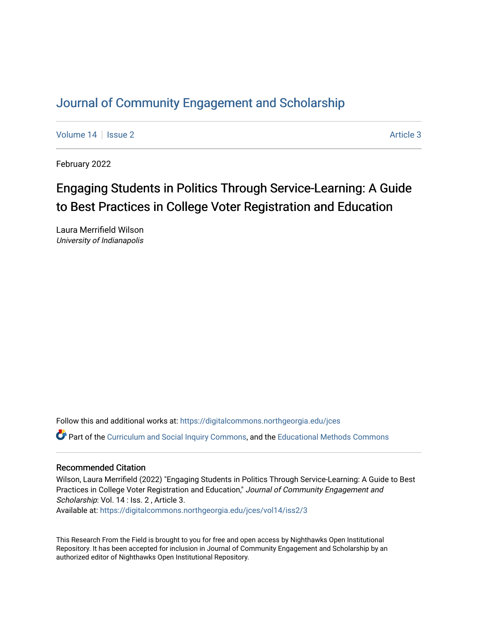# [Journal of Community Engagement and Scholarship](https://digitalcommons.northgeorgia.edu/jces)

[Volume 14](https://digitalcommons.northgeorgia.edu/jces/vol14) | [Issue 2](https://digitalcommons.northgeorgia.edu/jces/vol14/iss2) Article 3

February 2022

# Engaging Students in Politics Through Service-Learning: A Guide to Best Practices in College Voter Registration and Education

Laura Merrifield Wilson University of Indianapolis

Follow this and additional works at: [https://digitalcommons.northgeorgia.edu/jces](https://digitalcommons.northgeorgia.edu/jces?utm_source=digitalcommons.northgeorgia.edu%2Fjces%2Fvol14%2Fiss2%2F3&utm_medium=PDF&utm_campaign=PDFCoverPages) Part of the [Curriculum and Social Inquiry Commons,](http://network.bepress.com/hgg/discipline/1038?utm_source=digitalcommons.northgeorgia.edu%2Fjces%2Fvol14%2Fiss2%2F3&utm_medium=PDF&utm_campaign=PDFCoverPages) and the [Educational Methods Commons](http://network.bepress.com/hgg/discipline/1227?utm_source=digitalcommons.northgeorgia.edu%2Fjces%2Fvol14%2Fiss2%2F3&utm_medium=PDF&utm_campaign=PDFCoverPages)

### Recommended Citation

Wilson, Laura Merrifield (2022) "Engaging Students in Politics Through Service-Learning: A Guide to Best Practices in College Voter Registration and Education," Journal of Community Engagement and Scholarship: Vol. 14 : Iss. 2, Article 3.

Available at: [https://digitalcommons.northgeorgia.edu/jces/vol14/iss2/3](https://digitalcommons.northgeorgia.edu/jces/vol14/iss2/3?utm_source=digitalcommons.northgeorgia.edu%2Fjces%2Fvol14%2Fiss2%2F3&utm_medium=PDF&utm_campaign=PDFCoverPages) 

This Research From the Field is brought to you for free and open access by Nighthawks Open Institutional Repository. It has been accepted for inclusion in Journal of Community Engagement and Scholarship by an authorized editor of Nighthawks Open Institutional Repository.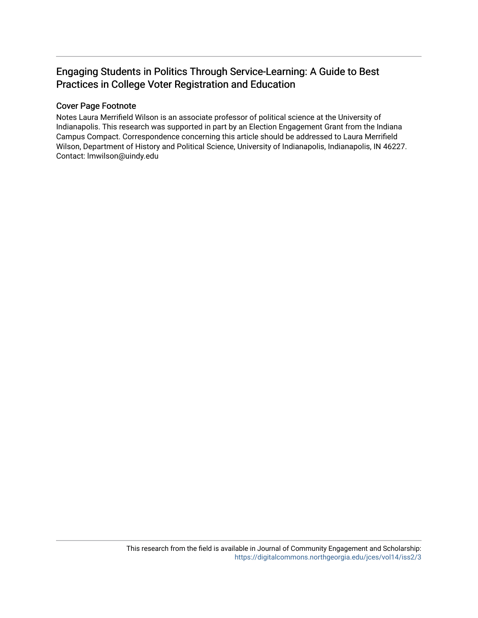### Engaging Students in Politics Through Service-Learning: A Guide to Best Practices in College Voter Registration and Education

### Cover Page Footnote

Notes Laura Merrifield Wilson is an associate professor of political science at the University of Indianapolis. This research was supported in part by an Election Engagement Grant from the Indiana Campus Compact. Correspondence concerning this article should be addressed to Laura Merrifield Wilson, Department of History and Political Science, University of Indianapolis, Indianapolis, IN 46227. Contact: lmwilson@uindy.edu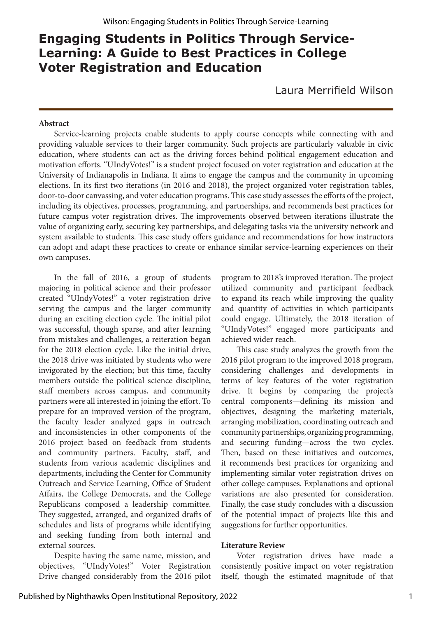## **Engaging Students in Politics Through Service-Learning: A Guide to Best Practices in College Voter Registration and Education**

Laura Merrifield Wilson

#### **Abstract**

Service-learning projects enable students to apply course concepts while connecting with and providing valuable services to their larger community. Such projects are particularly valuable in civic education, where students can act as the driving forces behind political engagement education and motivation efforts. "UIndyVotes!" is a student project focused on voter registration and education at the University of Indianapolis in Indiana. It aims to engage the campus and the community in upcoming elections. In its first two iterations (in 2016 and 2018), the project organized voter registration tables, door-to-door canvassing, and voter education programs. This case study assesses the efforts of the project, including its objectives, processes, programming, and partnerships, and recommends best practices for future campus voter registration drives. The improvements observed between iterations illustrate the value of organizing early, securing key partnerships, and delegating tasks via the university network and system available to students. This case study offers guidance and recommendations for how instructors can adopt and adapt these practices to create or enhance similar service-learning experiences on their own campuses.

In the fall of 2016, a group of students majoring in political science and their professor created "UIndyVotes!" a voter registration drive serving the campus and the larger community during an exciting election cycle. The initial pilot was successful, though sparse, and after learning from mistakes and challenges, a reiteration began for the 2018 election cycle. Like the initial drive, the 2018 drive was initiated by students who were invigorated by the election; but this time, faculty members outside the political science discipline, staff members across campus, and community partners were all interested in joining the effort. To prepare for an improved version of the program, the faculty leader analyzed gaps in outreach and inconsistencies in other components of the 2016 project based on feedback from students and community partners. Faculty, staff, and students from various academic disciplines and departments, including the Center for Community Outreach and Service Learning, Office of Student Affairs, the College Democrats, and the College Republicans composed a leadership committee. They suggested, arranged, and organized drafts of schedules and lists of programs while identifying and seeking funding from both internal and external sources.

Despite having the same name, mission, and objectives, "UIndyVotes!" Voter Registration Drive changed considerably from the 2016 pilot program to 2018's improved iteration. The project utilized community and participant feedback to expand its reach while improving the quality and quantity of activities in which participants could engage. Ultimately, the 2018 iteration of "UIndyVotes!" engaged more participants and achieved wider reach.

This case study analyzes the growth from the 2016 pilot program to the improved 2018 program, considering challenges and developments in terms of key features of the voter registration drive. It begins by comparing the project's central components—defining its mission and objectives, designing the marketing materials, arranging mobilization, coordinating outreach and community partnerships, organizing programming, and securing funding—across the two cycles. Then, based on these initiatives and outcomes, it recommends best practices for organizing and implementing similar voter registration drives on other college campuses. Explanations and optional variations are also presented for consideration. Finally, the case study concludes with a discussion of the potential impact of projects like this and suggestions for further opportunities.

#### **Literature Review**

Voter registration drives have made a consistently positive impact on voter registration itself, though the estimated magnitude of that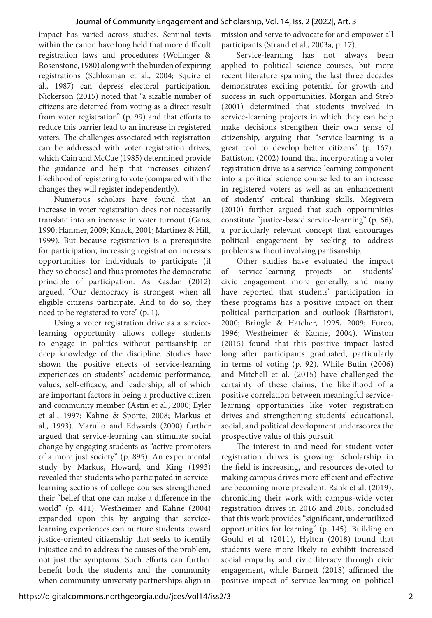impact has varied across studies. Seminal texts within the canon have long held that more difficult registration laws and procedures (Wolfinger & Rosenstone, 1980) along with the burden of expiring registrations (Schlozman et al., 2004; Squire et al., 1987) can depress electoral participation. Nickerson (2015) noted that "a sizable number of citizens are deterred from voting as a direct result from voter registration" (p. 99) and that efforts to reduce this barrier lead to an increase in registered voters. The challenges associated with registration can be addressed with voter registration drives, which Cain and McCue (1985) determined provide the guidance and help that increases citizens' likelihood of registering to vote (compared with the changes they will register independently).

Numerous scholars have found that an increase in voter registration does not necessarily translate into an increase in voter turnout (Gans, 1990; Hanmer, 2009; Knack, 2001; Martinez & Hill, 1999). But because registration is a prerequisite for participation, increasing registration increases opportunities for individuals to participate (if they so choose) and thus promotes the democratic principle of participation. As Kasdan (2012) argued, "Our democracy is strongest when all eligible citizens participate. And to do so, they need to be registered to vote" (p. 1).

Using a voter registration drive as a servicelearning opportunity allows college students to engage in politics without partisanship or deep knowledge of the discipline. Studies have shown the positive effects of service-learning experiences on students' academic performance, values, self-efficacy, and leadership, all of which are important factors in being a productive citizen and community member (Astin et al., 2000; Eyler et al., 1997; Kahne & Sporte, 2008; Markus et al., 1993). Marullo and Edwards (2000) further argued that service-learning can stimulate social change by engaging students as "active promoters of a more just society" (p. 895). An experimental study by Markus, Howard, and King (1993) revealed that students who participated in servicelearning sections of college courses strengthened their "belief that one can make a difference in the world" (p. 411). Westheimer and Kahne (2004) expanded upon this by arguing that servicelearning experiences can nurture students toward justice-oriented citizenship that seeks to identify injustice and to address the causes of the problem, not just the symptoms. Such efforts can further benefit both the students and the community when community-university partnerships align in

mission and serve to advocate for and empower all participants (Strand et al., 2003a, p. 17).

Service-learning has not always been applied to political science courses, but more recent literature spanning the last three decades demonstrates exciting potential for growth and success in such opportunities. Morgan and Streb (2001) determined that students involved in service-learning projects in which they can help make decisions strengthen their own sense of citizenship, arguing that "service-learning is a great tool to develop better citizens" (p. 167). Battistoni (2002) found that incorporating a voter registration drive as a service-learning component into a political science course led to an increase in registered voters as well as an enhancement of students' critical thinking skills. Megivern (2010) further argued that such opportunities constitute "justice-based service-learning" (p. 66), a particularly relevant concept that encourages political engagement by seeking to address problems without involving partisanship.

Other studies have evaluated the impact of service-learning projects on students' civic engagement more generally, and many have reported that students' participation in these programs has a positive impact on their political participation and outlook (Battistoni, 2000; Bringle & Hatcher, 1995, 2009; Furco, 1996; Westheimer & Kahne, 2004). Winston (2015) found that this positive impact lasted long after participants graduated, particularly in terms of voting (p. 92). While Butin (2006) and Mitchell et al. (2015) have challenged the certainty of these claims, the likelihood of a positive correlation between meaningful servicelearning opportunities like voter registration drives and strengthening students' educational, social, and political development underscores the prospective value of this pursuit.

The interest in and need for student voter registration drives is growing: Scholarship in the field is increasing, and resources devoted to making campus drives more efficient and effective are becoming more prevalent. Rank et al. (2019), chronicling their work with campus-wide voter registration drives in 2016 and 2018, concluded that this work provides "significant, underutilized opportunities for learning" (p. 145). Building on Gould et al. (2011), Hylton (2018) found that students were more likely to exhibit increased social empathy and civic literacy through civic engagement, while Barnett (2018) affirmed the positive impact of service-learning on political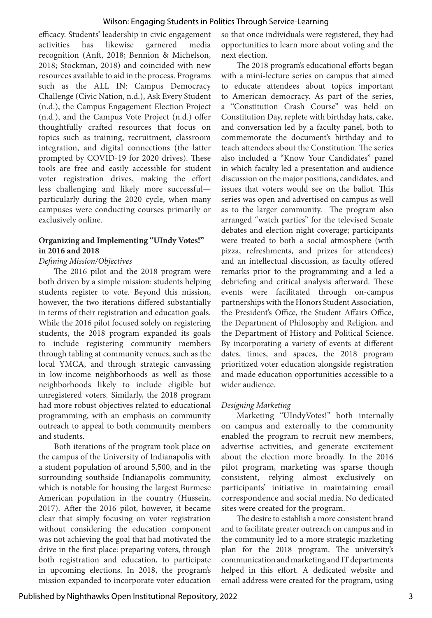#### Wilson: Engaging Students in Politics Through Service-Learning

efficacy. Students' leadership in civic engagement activities has likewise garnered media recognition (Anft, 2018; Bennion & Michelson, 2018; Stockman, 2018) and coincided with new resources available to aid in the process. Programs such as the ALL IN: Campus Democracy Challenge (Civic Nation, n.d.), Ask Every Student (n.d.), the Campus Engagement Election Project (n.d.), and the Campus Vote Project (n.d.) offer thoughtfully crafted resources that focus on topics such as training, recruitment, classroom integration, and digital connections (the latter prompted by COVID-19 for 2020 drives). These tools are free and easily accessible for student voter registration drives, making the effort less challenging and likely more successful particularly during the 2020 cycle, when many campuses were conducting courses primarily or exclusively online.

#### **Organizing and Implementing "UIndy Votes!" in 2016 and 2018**

#### *Defining Mission/Objectives*

The 2016 pilot and the 2018 program were both driven by a simple mission: students helping students register to vote. Beyond this mission, however, the two iterations differed substantially in terms of their registration and education goals. While the 2016 pilot focused solely on registering students, the 2018 program expanded its goals to include registering community members through tabling at community venues, such as the local YMCA, and through strategic canvassing in low-income neighborhoods as well as those neighborhoods likely to include eligible but unregistered voters. Similarly, the 2018 program had more robust objectives related to educational programming, with an emphasis on community outreach to appeal to both community members and students.

Both iterations of the program took place on the campus of the University of Indianapolis with a student population of around 5,500, and in the surrounding southside Indianapolis community, which is notable for housing the largest Burmese American population in the country (Hussein, 2017). After the 2016 pilot, however, it became clear that simply focusing on voter registration without considering the education component was not achieving the goal that had motivated the drive in the first place: preparing voters, through both registration and education, to participate in upcoming elections. In 2018, the program's mission expanded to incorporate voter education so that once individuals were registered, they had opportunities to learn more about voting and the next election.

The 2018 program's educational efforts began with a mini-lecture series on campus that aimed to educate attendees about topics important to American democracy. As part of the series, a "Constitution Crash Course" was held on Constitution Day, replete with birthday hats, cake, and conversation led by a faculty panel, both to commemorate the document's birthday and to teach attendees about the Constitution. The series also included a "Know Your Candidates" panel in which faculty led a presentation and audience discussion on the major positions, candidates, and issues that voters would see on the ballot. This series was open and advertised on campus as well as to the larger community. The program also arranged "watch parties" for the televised Senate debates and election night coverage; participants were treated to both a social atmosphere (with pizza, refreshments, and prizes for attendees) and an intellectual discussion, as faculty offered remarks prior to the programming and a led a debriefing and critical analysis afterward. These events were facilitated through on-campus partnerships with the Honors Student Association, the President's Office, the Student Affairs Office, the Department of Philosophy and Religion, and the Department of History and Political Science. By incorporating a variety of events at different dates, times, and spaces, the 2018 program prioritized voter education alongside registration and made education opportunities accessible to a wider audience.

#### *Designing Marketing*

Marketing "UIndyVotes!" both internally on campus and externally to the community enabled the program to recruit new members, advertise activities, and generate excitement about the election more broadly. In the 2016 pilot program, marketing was sparse though consistent, relying almost exclusively on participants' initiative in maintaining email correspondence and social media. No dedicated sites were created for the program.

The desire to establish a more consistent brand and to facilitate greater outreach on campus and in the community led to a more strategic marketing plan for the 2018 program. The university's communication and marketing and IT departments helped in this effort. A dedicated website and email address were created for the program, using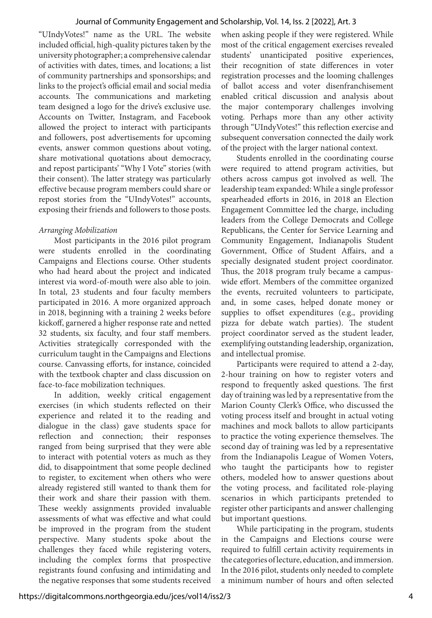"UIndyVotes!" name as the URL. The website included official, high-quality pictures taken by the university photographer; a comprehensive calendar of activities with dates, times, and locations; a list of community partnerships and sponsorships; and links to the project's official email and social media accounts. The communications and marketing team designed a logo for the drive's exclusive use. Accounts on Twitter, Instagram, and Facebook allowed the project to interact with participants and followers, post advertisements for upcoming events, answer common questions about voting, share motivational quotations about democracy, and repost participants' "Why I Vote" stories (with their consent). The latter strategy was particularly effective because program members could share or repost stories from the "UIndyVotes!" accounts, exposing their friends and followers to those posts.

#### *Arranging Mobilization*

Most participants in the 2016 pilot program were students enrolled in the coordinating Campaigns and Elections course. Other students who had heard about the project and indicated interest via word-of-mouth were also able to join. In total, 23 students and four faculty members participated in 2016. A more organized approach in 2018, beginning with a training 2 weeks before kickoff, garnered a higher response rate and netted 32 students, six faculty, and four staff members. Activities strategically corresponded with the curriculum taught in the Campaigns and Elections course. Canvassing efforts, for instance, coincided with the textbook chapter and class discussion on face-to-face mobilization techniques.

In addition, weekly critical engagement exercises (in which students reflected on their experience and related it to the reading and dialogue in the class) gave students space for reflection and connection; their responses ranged from being surprised that they were able to interact with potential voters as much as they did, to disappointment that some people declined to register, to excitement when others who were already registered still wanted to thank them for their work and share their passion with them. These weekly assignments provided invaluable assessments of what was effective and what could be improved in the program from the student perspective. Many students spoke about the challenges they faced while registering voters, including the complex forms that prospective registrants found confusing and intimidating and the negative responses that some students received

when asking people if they were registered. While most of the critical engagement exercises revealed students' unanticipated positive experiences, their recognition of state differences in voter registration processes and the looming challenges of ballot access and voter disenfranchisement enabled critical discussion and analysis about the major contemporary challenges involving voting. Perhaps more than any other activity through "UIndyVotes!" this reflection exercise and subsequent conversation connected the daily work of the project with the larger national context.

Students enrolled in the coordinating course were required to attend program activities, but others across campus got involved as well. The leadership team expanded: While a single professor spearheaded efforts in 2016, in 2018 an Election Engagement Committee led the charge, including leaders from the College Democrats and College Republicans, the Center for Service Learning and Community Engagement, Indianapolis Student Government, Office of Student Affairs, and a specially designated student project coordinator. Thus, the 2018 program truly became a campuswide effort. Members of the committee organized the events, recruited volunteers to participate, and, in some cases, helped donate money or supplies to offset expenditures (e.g., providing pizza for debate watch parties). The student project coordinator served as the student leader, exemplifying outstanding leadership, organization, and intellectual promise.

Participants were required to attend a 2-day, 2-hour training on how to register voters and respond to frequently asked questions. The first day of training was led by a representative from the Marion County Clerk's Office, who discussed the voting process itself and brought in actual voting machines and mock ballots to allow participants to practice the voting experience themselves. The second day of training was led by a representative from the Indianapolis League of Women Voters, who taught the participants how to register others, modeled how to answer questions about the voting process, and facilitated role-playing scenarios in which participants pretended to register other participants and answer challenging but important questions.

While participating in the program, students in the Campaigns and Elections course were required to fulfill certain activity requirements in the categories of lecture, education, and immersion. In the 2016 pilot, students only needed to complete a minimum number of hours and often selected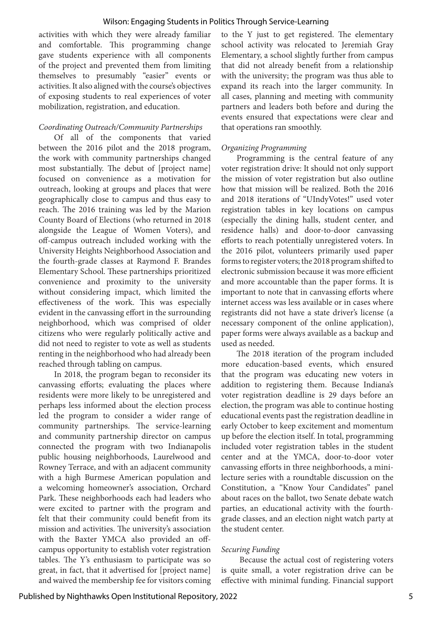activities with which they were already familiar and comfortable. This programming change gave students experience with all components of the project and prevented them from limiting themselves to presumably "easier" events or activities. It also aligned with the course's objectives of exposing students to real experiences of voter mobilization, registration, and education.

#### *Coordinating Outreach/Community Partnerships*

Of all of the components that varied between the 2016 pilot and the 2018 program, the work with community partnerships changed most substantially. The debut of [project name] focused on convenience as a motivation for outreach, looking at groups and places that were geographically close to campus and thus easy to reach. The 2016 training was led by the Marion County Board of Elections (who returned in 2018 alongside the League of Women Voters), and off-campus outreach included working with the University Heights Neighborhood Association and the fourth-grade classes at Raymond F. Brandes Elementary School. These partnerships prioritized convenience and proximity to the university without considering impact, which limited the effectiveness of the work. This was especially evident in the canvassing effort in the surrounding neighborhood, which was comprised of older citizens who were regularly politically active and did not need to register to vote as well as students renting in the neighborhood who had already been reached through tabling on campus.

In 2018, the program began to reconsider its canvassing efforts; evaluating the places where residents were more likely to be unregistered and perhaps less informed about the election process led the program to consider a wider range of community partnerships. The service-learning and community partnership director on campus connected the program with two Indianapolis public housing neighborhoods, Laurelwood and Rowney Terrace, and with an adjacent community with a high Burmese American population and a welcoming homeowner's association, Orchard Park. These neighborhoods each had leaders who were excited to partner with the program and felt that their community could benefit from its mission and activities. The university's association with the Baxter YMCA also provided an offcampus opportunity to establish voter registration tables. The Y's enthusiasm to participate was so great, in fact, that it advertised for [project name] and waived the membership fee for visitors coming

to the Y just to get registered. The elementary school activity was relocated to Jeremiah Gray Elementary, a school slightly further from campus that did not already benefit from a relationship with the university; the program was thus able to expand its reach into the larger community. In all cases, planning and meeting with community partners and leaders both before and during the events ensured that expectations were clear and that operations ran smoothly.

#### *Organizing Programming*

Programming is the central feature of any voter registration drive: It should not only support the mission of voter registration but also outline how that mission will be realized. Both the 2016 and 2018 iterations of "UIndyVotes!" used voter registration tables in key locations on campus (especially the dining halls, student center, and residence halls) and door-to-door canvassing efforts to reach potentially unregistered voters. In the 2016 pilot, volunteers primarily used paper forms to register voters; the 2018 program shifted to electronic submission because it was more efficient and more accountable than the paper forms. It is important to note that in canvassing efforts where internet access was less available or in cases where registrants did not have a state driver's license (a necessary component of the online application), paper forms were always available as a backup and used as needed.

The 2018 iteration of the program included more education-based events, which ensured that the program was educating new voters in addition to registering them. Because Indiana's voter registration deadline is 29 days before an election, the program was able to continue hosting educational events past the registration deadline in early October to keep excitement and momentum up before the election itself. In total, programming included voter registration tables in the student center and at the YMCA, door-to-door voter canvassing efforts in three neighborhoods, a minilecture series with a roundtable discussion on the Constitution, a "Know Your Candidates" panel about races on the ballot, two Senate debate watch parties, an educational activity with the fourthgrade classes, and an election night watch party at the student center.

#### *Securing Funding*

 Because the actual cost of registering voters is quite small, a voter registration drive can be effective with minimal funding. Financial support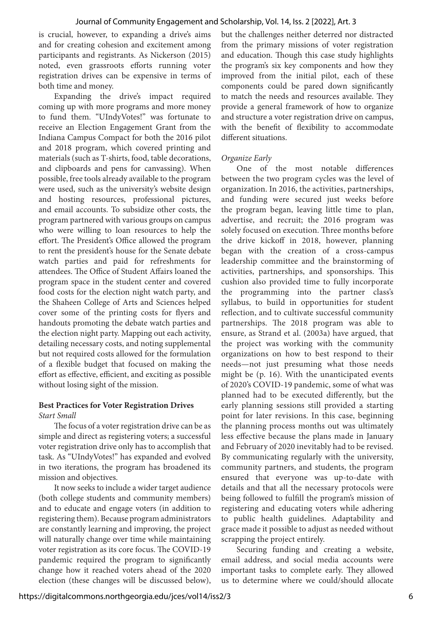is crucial, however, to expanding a drive's aims and for creating cohesion and excitement among participants and registrants. As Nickerson (2015) noted, even grassroots efforts running voter registration drives can be expensive in terms of both time and money.

Expanding the drive's impact required coming up with more programs and more money to fund them. "UIndyVotes!" was fortunate to receive an Election Engagement Grant from the Indiana Campus Compact for both the 2016 pilot and 2018 program, which covered printing and materials (such as T-shirts, food, table decorations, and clipboards and pens for canvassing). When possible, free tools already available to the program were used, such as the university's website design and hosting resources, professional pictures, and email accounts. To subsidize other costs, the program partnered with various groups on campus who were willing to loan resources to help the effort. The President's Office allowed the program to rent the president's house for the Senate debate watch parties and paid for refreshments for attendees. The Office of Student Affairs loaned the program space in the student center and covered food costs for the election night watch party, and the Shaheen College of Arts and Sciences helped cover some of the printing costs for flyers and handouts promoting the debate watch parties and the election night party. Mapping out each activity, detailing necessary costs, and noting supplemental but not required costs allowed for the formulation of a flexible budget that focused on making the effort as effective, efficient, and exciting as possible without losing sight of the mission.

#### **Best Practices for Voter Registration Drives** *Start Small*

The focus of a voter registration drive can be as simple and direct as registering voters; a successful voter registration drive only has to accomplish that task. As "UIndyVotes!" has expanded and evolved in two iterations, the program has broadened its mission and objectives.

It now seeks to include a wider target audience (both college students and community members) and to educate and engage voters (in addition to registering them). Because program administrators are constantly learning and improving, the project will naturally change over time while maintaining voter registration as its core focus. The COVID-19 pandemic required the program to significantly change how it reached voters ahead of the 2020 election (these changes will be discussed below), but the challenges neither deterred nor distracted from the primary missions of voter registration and education. Though this case study highlights the program's six key components and how they improved from the initial pilot, each of these components could be pared down significantly to match the needs and resources available. They provide a general framework of how to organize and structure a voter registration drive on campus, with the benefit of flexibility to accommodate different situations.

#### *Organize Early*

One of the most notable differences between the two program cycles was the level of organization. In 2016, the activities, partnerships, and funding were secured just weeks before the program began, leaving little time to plan, advertise, and recruit; the 2016 program was solely focused on execution. Three months before the drive kickoff in 2018, however, planning began with the creation of a cross-campus leadership committee and the brainstorming of activities, partnerships, and sponsorships. This cushion also provided time to fully incorporate the programming into the partner class's syllabus, to build in opportunities for student reflection, and to cultivate successful community partnerships. The 2018 program was able to ensure, as Strand et al. (2003a) have argued, that the project was working with the community organizations on how to best respond to their needs—not just presuming what those needs might be (p. 16). With the unanticipated events of 2020's COVID-19 pandemic, some of what was planned had to be executed differently, but the early planning sessions still provided a starting point for later revisions. In this case, beginning the planning process months out was ultimately less effective because the plans made in January and February of 2020 inevitably had to be revised. By communicating regularly with the university, community partners, and students, the program ensured that everyone was up-to-date with details and that all the necessary protocols were being followed to fulfill the program's mission of registering and educating voters while adhering to public health guidelines. Adaptability and grace made it possible to adjust as needed without scrapping the project entirely.

Securing funding and creating a website, email address, and social media accounts were important tasks to complete early. They allowed us to determine where we could/should allocate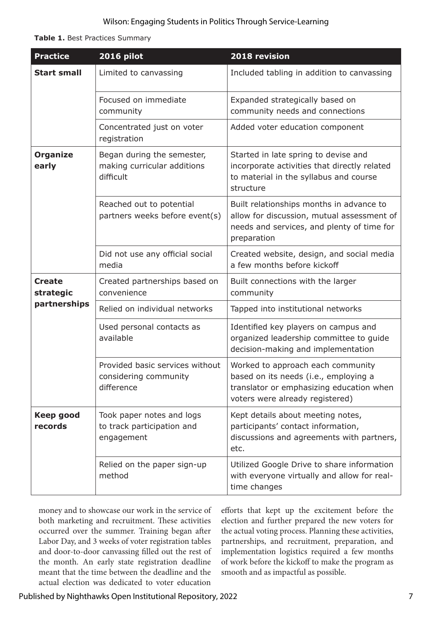**Table 1.** Best Practices Summary

| <b>Practice</b>                     | 2016 pilot                                                             | 2018 revision                                                                                                                                             |
|-------------------------------------|------------------------------------------------------------------------|-----------------------------------------------------------------------------------------------------------------------------------------------------------|
| <b>Start small</b>                  | Limited to canvassing                                                  | Included tabling in addition to canvassing                                                                                                                |
|                                     | Focused on immediate<br>community                                      | Expanded strategically based on<br>community needs and connections                                                                                        |
|                                     | Concentrated just on voter<br>registration                             | Added voter education component                                                                                                                           |
| <b>Organize</b><br>early            | Began during the semester,<br>making curricular additions<br>difficult | Started in late spring to devise and<br>incorporate activities that directly related<br>to material in the syllabus and course<br>structure               |
|                                     | Reached out to potential<br>partners weeks before event(s)             | Built relationships months in advance to<br>allow for discussion, mutual assessment of<br>needs and services, and plenty of time for<br>preparation       |
|                                     | Did not use any official social<br>media                               | Created website, design, and social media<br>a few months before kickoff                                                                                  |
| Create<br>strategic<br>partnerships | Created partnerships based on<br>convenience                           | Built connections with the larger<br>community                                                                                                            |
|                                     | Relied on individual networks                                          | Tapped into institutional networks                                                                                                                        |
|                                     | Used personal contacts as<br>available                                 | Identified key players on campus and<br>organized leadership committee to guide<br>decision-making and implementation                                     |
|                                     | Provided basic services without<br>considering community<br>difference | Worked to approach each community<br>based on its needs (i.e., employing a<br>translator or emphasizing education when<br>voters were already registered) |
| <b>Keep good</b><br>records         | Took paper notes and logs<br>to track participation and<br>engagement  | Kept details about meeting notes,<br>participants' contact information,<br>discussions and agreements with partners,<br>etc.                              |
|                                     | Relied on the paper sign-up<br>method                                  | Utilized Google Drive to share information<br>with everyone virtually and allow for real-<br>time changes                                                 |

money and to showcase our work in the service of both marketing and recruitment. These activities occurred over the summer. Training began after Labor Day, and 3 weeks of voter registration tables and door-to-door canvassing filled out the rest of the month. An early state registration deadline meant that the time between the deadline and the actual election was dedicated to voter education

efforts that kept up the excitement before the election and further prepared the new voters for the actual voting process. Planning these activities, partnerships, and recruitment, preparation, and implementation logistics required a few months of work before the kickoff to make the program as smooth and as impactful as possible.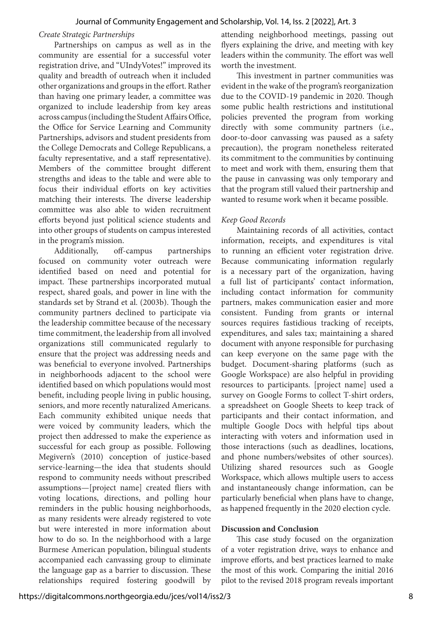#### *Create Strategic Partnerships*

Partnerships on campus as well as in the community are essential for a successful voter registration drive, and "UIndyVotes!" improved its quality and breadth of outreach when it included other organizations and groups in the effort. Rather than having one primary leader, a committee was organized to include leadership from key areas across campus (including the Student Affairs Office, the Office for Service Learning and Community Partnerships, advisors and student presidents from the College Democrats and College Republicans, a faculty representative, and a staff representative). Members of the committee brought different strengths and ideas to the table and were able to focus their individual efforts on key activities matching their interests. The diverse leadership committee was also able to widen recruitment efforts beyond just political science students and into other groups of students on campus interested in the program's mission.

Additionally, off-campus partnerships focused on community voter outreach were identified based on need and potential for impact. These partnerships incorporated mutual respect, shared goals, and power in line with the standards set by Strand et al. (2003b). Though the community partners declined to participate via the leadership committee because of the necessary time commitment, the leadership from all involved organizations still communicated regularly to ensure that the project was addressing needs and was beneficial to everyone involved. Partnerships in neighborhoods adjacent to the school were identified based on which populations would most benefit, including people living in public housing, seniors, and more recently naturalized Americans. Each community exhibited unique needs that were voiced by community leaders, which the project then addressed to make the experience as successful for each group as possible. Following Megivern's (2010) conception of justice-based service-learning—the idea that students should respond to community needs without prescribed assumptions—[project name] created fliers with voting locations, directions, and polling hour reminders in the public housing neighborhoods, as many residents were already registered to vote but were interested in more information about how to do so. In the neighborhood with a large Burmese American population, bilingual students accompanied each canvassing group to eliminate the language gap as a barrier to discussion. These relationships required fostering goodwill by

attending neighborhood meetings, passing out flyers explaining the drive, and meeting with key leaders within the community. The effort was well worth the investment.

This investment in partner communities was evident in the wake of the program's reorganization due to the COVID-19 pandemic in 2020. Though some public health restrictions and institutional policies prevented the program from working directly with some community partners (i.e., door-to-door canvassing was paused as a safety precaution), the program nonetheless reiterated its commitment to the communities by continuing to meet and work with them, ensuring them that the pause in canvassing was only temporary and that the program still valued their partnership and wanted to resume work when it became possible.

#### *Keep Good Records*

Maintaining records of all activities, contact information, receipts, and expenditures is vital to running an efficient voter registration drive. Because communicating information regularly is a necessary part of the organization, having a full list of participants' contact information, including contact information for community partners, makes communication easier and more consistent. Funding from grants or internal sources requires fastidious tracking of receipts, expenditures, and sales tax; maintaining a shared document with anyone responsible for purchasing can keep everyone on the same page with the budget. Document-sharing platforms (such as Google Workspace) are also helpful in providing resources to participants. [project name] used a survey on Google Forms to collect T-shirt orders, a spreadsheet on Google Sheets to keep track of participants and their contact information, and multiple Google Docs with helpful tips about interacting with voters and information used in those interactions (such as deadlines, locations, and phone numbers/websites of other sources). Utilizing shared resources such as Google Workspace, which allows multiple users to access and instantaneously change information, can be particularly beneficial when plans have to change, as happened frequently in the 2020 election cycle.

#### **Discussion and Conclusion**

This case study focused on the organization of a voter registration drive, ways to enhance and improve efforts, and best practices learned to make the most of this work. Comparing the initial 2016 pilot to the revised 2018 program reveals important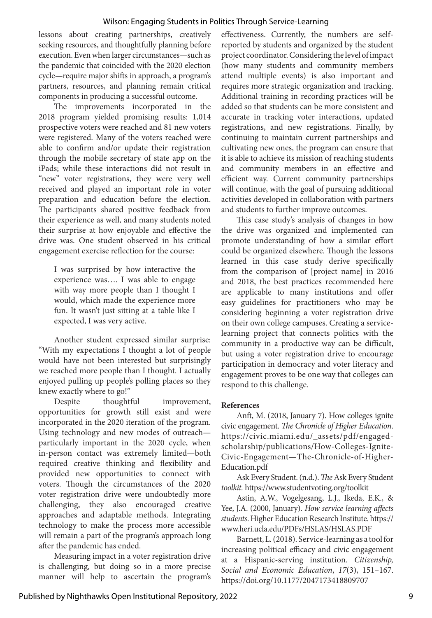#### Wilson: Engaging Students in Politics Through Service-Learning

lessons about creating partnerships, creatively seeking resources, and thoughtfully planning before execution. Even when larger circumstances—such as the pandemic that coincided with the 2020 election cycle—require major shifts in approach, a program's partners, resources, and planning remain critical components in producing a successful outcome.

The improvements incorporated in the 2018 program yielded promising results: 1,014 prospective voters were reached and 81 new voters were registered. Many of the voters reached were able to confirm and/or update their registration through the mobile secretary of state app on the iPads; while these interactions did not result in "new" voter registrations, they were very well received and played an important role in voter preparation and education before the election. The participants shared positive feedback from their experience as well, and many students noted their surprise at how enjoyable and effective the drive was. One student observed in his critical engagement exercise reflection for the course:

I was surprised by how interactive the experience was…. I was able to engage with way more people than I thought I would, which made the experience more fun. It wasn't just sitting at a table like I expected, I was very active.

Another student expressed similar surprise: "With my expectations I thought a lot of people would have not been interested but surprisingly we reached more people than I thought. I actually enjoyed pulling up people's polling places so they knew exactly where to go!"

Despite thoughtful improvement, opportunities for growth still exist and were incorporated in the 2020 iteration of the program. Using technology and new modes of outreach particularly important in the 2020 cycle, when in-person contact was extremely limited—both required creative thinking and flexibility and provided new opportunities to connect with voters. Though the circumstances of the 2020 voter registration drive were undoubtedly more challenging, they also encouraged creative approaches and adaptable methods. Integrating technology to make the process more accessible will remain a part of the program's approach long after the pandemic has ended.

Measuring impact in a voter registration drive is challenging, but doing so in a more precise manner will help to ascertain the program's effectiveness. Currently, the numbers are selfreported by students and organized by the student project coordinator. Considering the level of impact (how many students and community members attend multiple events) is also important and requires more strategic organization and tracking. Additional training in recording practices will be added so that students can be more consistent and accurate in tracking voter interactions, updated registrations, and new registrations. Finally, by continuing to maintain current partnerships and cultivating new ones, the program can ensure that it is able to achieve its mission of reaching students and community members in an effective and efficient way. Current community partnerships will continue, with the goal of pursuing additional activities developed in collaboration with partners and students to further improve outcomes.

This case study's analysis of changes in how the drive was organized and implemented can promote understanding of how a similar effort could be organized elsewhere. Though the lessons learned in this case study derive specifically from the comparison of [project name] in 2016 and 2018, the best practices recommended here are applicable to many institutions and offer easy guidelines for practitioners who may be considering beginning a voter registration drive on their own college campuses. Creating a servicelearning project that connects politics with the community in a productive way can be difficult, but using a voter registration drive to encourage participation in democracy and voter literacy and engagement proves to be one way that colleges can respond to this challenge.

#### **References**

Anft, M. (2018, January 7). How colleges ignite civic engagement. *The Chronicle of Higher Education*. https://civic.miami.edu/\_assets/pdf/engagedscholarship/publications/How-Colleges-Ignite-Civic-Engagement—The-Chronicle-of-Higher-Education.pdf

Ask Every Student. (n.d.). *The* Ask Every Student *toolkit.* https://www.studentvoting.org/toolkit

Astin, A.W., Vogelgesang, L.J., Ikeda, E.K., & Yee, J.A. (2000, January). *How service learning affects students*. Higher Education Research Institute. https:// www.heri.ucla.edu/PDFs/HSLAS/HSLAS.PDF

Barnett, L. (2018). Service-learning as a tool for increasing political efficacy and civic engagement at a Hispanic-serving institution. *Citizenship, Social and Economic Education*, *17*(3), 151–167. https://doi.org/10.1177/2047173418809707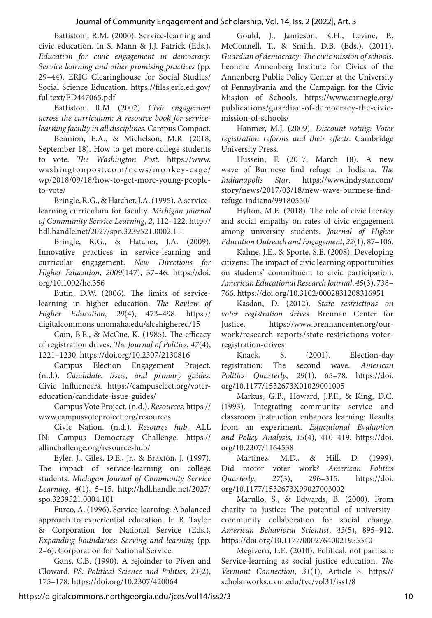#### Journal of Community Engagement and Scholarship, Vol. 14, Iss. 2 [2022], Art. 3

Battistoni, R.M. (2000). Service-learning and civic education. In S. Mann & J.J. Patrick (Eds.), *Education for civic engagement in democracy: Service learning and other promising practices* (pp. 29–44). ERIC Clearinghouse for Social Studies/ Social Science Education. https://files.eric.ed.gov/ fulltext/ED447065.pdf

Battistoni, R.M. (2002). *Civic engagement across the curriculum: A resource book for servicelearning faculty in all disciplines*. Campus Compact.

Bennion, E.A., & Michelson, M.R. (2018, September 18). How to get more college students to vote. *The Washington Post*. https://www. washingtonpost.com/news/monkey-cage/ wp/2018/09/18/how-to-get-more-young-peopleto-vote/

Bringle, R.G., & Hatcher, J.A. (1995). A servicelearning curriculum for faculty. *Michigan Journal of Community Service Learning*, *2*, 112–122. http:// hdl.handle.net/2027/spo.3239521.0002.111

Bringle, R.G., & Hatcher, J.A. (2009). Innovative practices in service-learning and curricular engagement. *New Directions for Higher Education*, *2009*(147), 37–46. https://doi. org/10.1002/he.356

Butin, D.W. (2006). The limits of servicelearning in higher education. *The Review of Higher Education*, *29*(4), 473–498. https:// digitalcommons.unomaha.edu/slcehighered/15

Cain, B.E., & McCue, K. (1985). The efficacy of registration drives. *The Journal of Politics*, *47*(4), 1221–1230. https://doi.org/10.2307/2130816

Campus Election Engagement Project. (n.d.). *Candidate, issue, and primary guides*. Civic Influencers. https://campuselect.org/votereducation/candidate-issue-guides/

Campus Vote Project. (n.d.). *Resources*. https:// www.campusvoteproject.org/resources

Civic Nation. (n.d.). *Resource hub*. ALL IN: Campus Democracy Challenge. https:// allinchallenge.org/resource-hub/

Eyler, J., Giles, D.E., Jr., & Braxton, J. (1997). The impact of service-learning on college students. *Michigan Journal of Community Service Learning*, *4*(1), 5–15. http://hdl.handle.net/2027/ spo.3239521.0004.101

Furco, A. (1996). Service-learning: A balanced approach to experiential education. In B. Taylor & Corporation for National Service (Eds.), *Expanding boundaries: Serving and learning* (pp. 2–6). Corporation for National Service.

Gans, C.B. (1990). A rejoinder to Piven and Cloward. *PS: Political Science and Politics*, *23*(2), 175–178. https://doi.org/10.2307/420064

Gould, J., Jamieson, K.H., Levine, P., McConnell, T., & Smith, D.B. (Eds.). (2011). *Guardian of democracy: The civic mission of schools*. Leonore Annenberg Institute for Civics of the Annenberg Public Policy Center at the University of Pennsylvania and the Campaign for the Civic Mission of Schools. https://www.carnegie.org/ publications/guardian-of-democracy-the-civicmission-of-schools/

Hanmer, M.J. (2009). *Discount voting: Voter registration reforms and their effects.* Cambridge University Press.

Hussein, F. (2017, March 18). A new wave of Burmese find refuge in Indiana. *The Indianapolis Star*. https://www.indystar.com/ story/news/2017/03/18/new-wave-burmese-findrefuge-indiana/99180550/

Hylton, M.E. (2018). The role of civic literacy and social empathy on rates of civic engagement among university students. *Journal of Higher Education Outreach and Engagement*, *22*(1), 87–106.

Kahne, J.E., & Sporte, S.E. (2008). Developing citizens: The impact of civic learning opportunities on students' commitment to civic participation. *American Educational Research Journal*, *45*(3), 738– 766. https://doi.org/10.3102/0002831208316951

Kasdan, D. (2012). *State restrictions on voter registration drives*. Brennan Center for Justice. https://www.brennancenter.org/ourwork/research-reports/state-restrictions-voterregistration-drives

Knack, S. (2001). Election-day registration: The second wave. *American Politics Quarterly*, *29*(1), 65–78. https://doi. org/10.1177/1532673X01029001005

Markus, G.B., Howard, J.P.F., & King, D.C. (1993). Integrating community service and classroom instruction enhances learning: Results from an experiment. *Educational Evaluation and Policy Analysis*, *15*(4), 410–419. https://doi. org/10.2307/1164538

Martinez, M.D., & Hill, D. (1999). Did motor voter work? *American Politics Quarterly*, *27*(3), 296–315. https://doi. org/10.1177/1532673X99027003002

Marullo, S., & Edwards, B. (2000). From charity to justice: The potential of universitycommunity collaboration for social change. *American Behavioral Scientist*, *43*(5), 895–912. https://doi.org/10.1177/00027640021955540

Megivern, L.E. (2010). Political, not partisan: Service-learning as social justice education. *The Vermont Connection*, *31*(1), Article 8. https:// scholarworks.uvm.edu/tvc/vol31/iss1/8